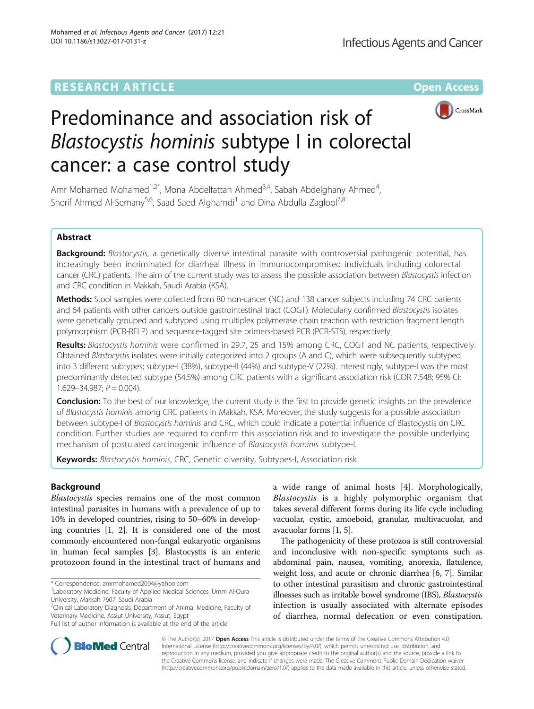## **RESEARCH ARTICLE External Structure Community Community Community Community Community Community Community Community**



# Predominance and association risk of Blastocystis hominis subtype I in colorectal cancer: a case control study

Amr Mohamed Mohamed<sup>1,2\*</sup>, Mona Abdelfattah Ahmed<sup>3,4</sup>, Sabah Abdelghany Ahmed<sup>4</sup>, , Sherif Ahmed Al-Semany<sup>5,6</sup>, Saad Saed Alghamdi<sup>1</sup> and Dina Abdulla Zaglool<sup>7,8</sup>

## Abstract

Background: Blastocystis, a genetically diverse intestinal parasite with controversial pathogenic potential, has increasingly been incriminated for diarrheal illness in immunocompromised individuals including colorectal cancer (CRC) patients. The aim of the current study was to assess the possible association between Blastocystis infection and CRC condition in Makkah, Saudi Arabia (KSA).

Methods: Stool samples were collected from 80 non-cancer (NC) and 138 cancer subjects including 74 CRC patients and 64 patients with other cancers outside gastrointestinal tract (COGT). Molecularly confirmed Blastocystis isolates were genetically grouped and subtyped using multiplex polymerase chain reaction with restriction fragment length polymorphism (PCR-RFLP) and sequence-tagged site primers-based PCR (PCR-STS), respectively.

Results: Blastocystis hominis were confirmed in 29.7, 25 and 15% among CRC, COGT and NC patients, respectively. Obtained Blastocystis isolates were initially categorized into 2 groups (A and C), which were subsequently subtyped into 3 different subtypes; subtype-I (38%), subtype-II (44%) and subtype-V (22%). Interestingly, subtype-I was the most predominantly detected subtype (54.5%) among CRC patients with a significant association risk (COR 7.548; 95% CI:  $1.629 - 34.987; P = 0.004$ .

**Conclusion:** To the best of our knowledge, the current study is the first to provide genetic insights on the prevalence of Blastocystis hominis among CRC patients in Makkah, KSA. Moreover, the study suggests for a possible association between subtype-I of Blastocystis hominis and CRC, which could indicate a potential influence of Blastocystis on CRC condition. Further studies are required to confirm this association risk and to investigate the possible underlying mechanism of postulated carcinogenic influence of Blastocystis hominis subtype-I.

Keywords: Blastocystis hominis, CRC, Genetic diversity, Subtypes-I, Association risk

## Background

Blastocystis species remains one of the most common intestinal parasites in humans with a prevalence of up to 10% in developed countries, rising to 50–60% in developing countries [\[1, 2](#page-6-0)]. It is considered one of the most commonly encountered non-fungal eukaryotic organisms in human fecal samples [[3](#page-6-0)]. Blastocystis is an enteric protozoon found in the intestinal tract of humans and

\* Correspondence: [amrmohamed2004@yahoo.com](mailto:amrmohamed2004@yahoo.com) <sup>1</sup>

<sup>2</sup>Clinical Laboratory Diagnosis, Department of Animal Medicine, Faculty of Veterinary Medicine, Assiut University, Assiut, Egypt

a wide range of animal hosts [[4](#page-6-0)]. Morphologically, Blastocystis is a highly polymorphic organism that takes several different forms during its life cycle including vacuolar, cystic, amoeboid, granular, multivacuolar, and avacuolar forms [\[1](#page-6-0), [5](#page-6-0)].

The pathogenicity of these protozoa is still controversial and inconclusive with non-specific symptoms such as abdominal pain, nausea, vomiting, anorexia, flatulence, weight loss, and acute or chronic diarrhea [[6, 7](#page-6-0)]. Similar to other intestinal parasitism and chronic gastrointestinal illnesses such as irritable bowel syndrome (IBS), Blastocystis infection is usually associated with alternate episodes of diarrhea, normal defecation or even constipation.



© The Author(s). 2017 **Open Access** This article is distributed under the terms of the Creative Commons Attribution 4.0 International License [\(http://creativecommons.org/licenses/by/4.0/](http://creativecommons.org/licenses/by/4.0/)), which permits unrestricted use, distribution, and reproduction in any medium, provided you give appropriate credit to the original author(s) and the source, provide a link to the Creative Commons license, and indicate if changes were made. The Creative Commons Public Domain Dedication waiver [\(http://creativecommons.org/publicdomain/zero/1.0/](http://creativecommons.org/publicdomain/zero/1.0/)) applies to the data made available in this article, unless otherwise stated.

Laboratory Medicine, Faculty of Applied Medical Sciences, Umm Al-Qura University, Makkah 7607, Saudi Arabia

Full list of author information is available at the end of the article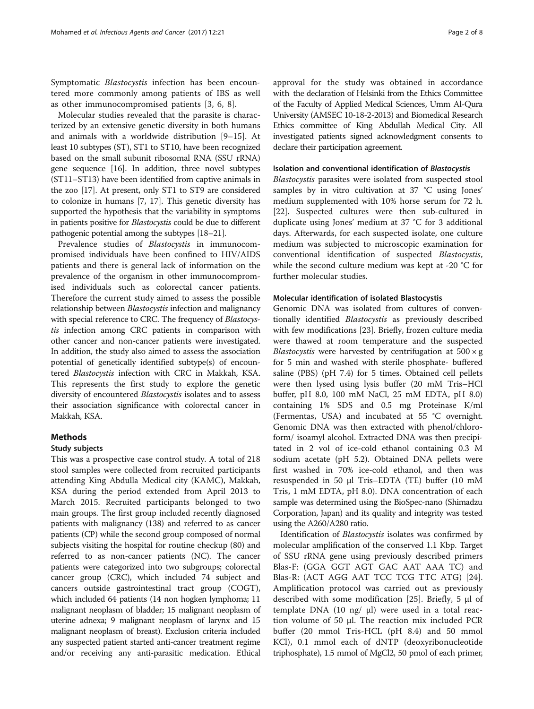Symptomatic Blastocystis infection has been encountered more commonly among patients of IBS as well as other immunocompromised patients [\[3](#page-6-0), [6](#page-6-0), [8\]](#page-6-0).

Molecular studies revealed that the parasite is characterized by an extensive genetic diversity in both humans and animals with a worldwide distribution [\[9](#page-6-0)–[15\]](#page-6-0). At least 10 subtypes (ST), ST1 to ST10, have been recognized based on the small subunit ribosomal RNA (SSU rRNA) gene sequence [[16](#page-7-0)]. In addition, three novel subtypes (ST11–ST13) have been identified from captive animals in the zoo [\[17](#page-7-0)]. At present, only ST1 to ST9 are considered to colonize in humans [\[7](#page-6-0), [17\]](#page-7-0). This genetic diversity has supported the hypothesis that the variability in symptoms in patients positive for Blastocystis could be due to different pathogenic potential among the subtypes [[18](#page-7-0)–[21](#page-7-0)].

Prevalence studies of *Blastocystis* in immunocompromised individuals have been confined to HIV/AIDS patients and there is general lack of information on the prevalence of the organism in other immunocompromised individuals such as colorectal cancer patients. Therefore the current study aimed to assess the possible relationship between *Blastocystis* infection and malignancy with special reference to CRC. The frequency of Blastocystis infection among CRC patients in comparison with other cancer and non-cancer patients were investigated. In addition, the study also aimed to assess the association potential of genetically identified subtype(s) of encountered Blastocystis infection with CRC in Makkah, KSA. This represents the first study to explore the genetic diversity of encountered Blastocystis isolates and to assess their association significance with colorectal cancer in Makkah, KSA.

## Methods

#### Study subjects

This was a prospective case control study. A total of 218 stool samples were collected from recruited participants attending King Abdulla Medical city (KAMC), Makkah, KSA during the period extended from April 2013 to March 2015. Recruited participants belonged to two main groups. The first group included recently diagnosed patients with malignancy (138) and referred to as cancer patients (CP) while the second group composed of normal subjects visiting the hospital for routine checkup (80) and referred to as non-cancer patients (NC). The cancer patients were categorized into two subgroups; colorectal cancer group (CRC), which included 74 subject and cancers outside gastrointestinal tract group (COGT), which included 64 patients (14 non hogken lymphoma; 11 malignant neoplasm of bladder; 15 malignant neoplasm of uterine adnexa; 9 malignant neoplasm of larynx and 15 malignant neoplasm of breast). Exclusion criteria included any suspected patient started anti-cancer treatment regime and/or receiving any anti-parasitic medication. Ethical approval for the study was obtained in accordance with the declaration of Helsinki from the Ethics Committee of the Faculty of Applied Medical Sciences, Umm Al-Qura University (AMSEC 10-18-2-2013) and Biomedical Research Ethics committee of King Abdullah Medical City. All investigated patients signed acknowledgment consents to declare their participation agreement.

#### Isolation and conventional identification of Blastocystis

Blastocystis parasites were isolated from suspected stool samples by in vitro cultivation at 37 °C using Jones' medium supplemented with 10% horse serum for 72 h. [[22\]](#page-7-0). Suspected cultures were then sub-cultured in duplicate using Jones' medium at 37 °C for 3 additional days. Afterwards, for each suspected isolate, one culture medium was subjected to microscopic examination for conventional identification of suspected Blastocystis, while the second culture medium was kept at -20 °C for further molecular studies.

## Molecular identification of isolated Blastocystis

Genomic DNA was isolated from cultures of conventionally identified Blastocystis as previously described with few modifications [[23\]](#page-7-0). Briefly, frozen culture media were thawed at room temperature and the suspected *Blastocystis* were harvested by centrifugation at  $500 \times g$ for 5 min and washed with sterile phosphate- buffered saline (PBS) (pH 7.4) for 5 times. Obtained cell pellets were then lysed using lysis buffer (20 mM Tris–HCl buffer, pH 8.0, 100 mM NaCl, 25 mM EDTA, pH 8.0) containing 1% SDS and 0.5 mg Proteinase K/ml (Fermentas, USA) and incubated at 55 °C overnight. Genomic DNA was then extracted with phenol/chloroform/ isoamyl alcohol. Extracted DNA was then precipitated in 2 vol of ice-cold ethanol containing 0.3 M sodium acetate (pH 5.2). Obtained DNA pellets were first washed in 70% ice-cold ethanol, and then was resuspended in 50 μl Tris–EDTA (TE) buffer (10 mM Tris, 1 mM EDTA, pH 8.0). DNA concentration of each sample was determined using the BioSpec-nano (Shimadzu Corporation, Japan) and its quality and integrity was tested using the A260/A280 ratio.

Identification of Blastocystis isolates was confirmed by molecular amplification of the conserved 1.1 Kbp. Target of SSU rRNA gene using previously described primers Blas-F: (GGA GGT AGT GAC AAT AAA TC) and Blas-R: (ACT AGG AAT TCC TCG TTC ATG) [\[24](#page-7-0)]. Amplification protocol was carried out as previously described with some modification [[25\]](#page-7-0). Briefly, 5 μl of template DNA (10 ng/ μl) were used in a total reaction volume of 50 μl. The reaction mix included PCR buffer (20 mmol Tris-HCL (pH 8.4) and 50 mmol KCl), 0.1 mmol each of dNTP (deoxyribonucleotide triphosphate), 1.5 mmol of MgCl2, 50 pmol of each primer,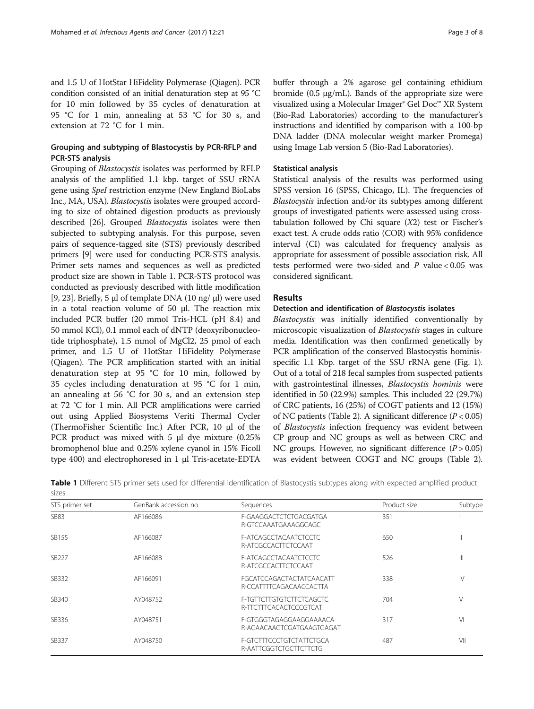and 1.5 U of HotStar HiFidelity Polymerase (Qiagen). PCR condition consisted of an initial denaturation step at 95 °C for 10 min followed by 35 cycles of denaturation at 95 °C for 1 min, annealing at 53 °C for 30 s, and extension at 72 °C for 1 min.

## Grouping and subtyping of Blastocystis by PCR-RFLP and PCR-STS analysis

Grouping of Blastocystis isolates was performed by RFLP analysis of the amplified 1.1 kbp. target of SSU rRNA gene using SpeI restriction enzyme (New England BioLabs Inc., MA, USA). Blastocystis isolates were grouped according to size of obtained digestion products as previously described [[26\]](#page-7-0). Grouped Blastocystis isolates were then subjected to subtyping analysis. For this purpose, seven pairs of sequence-tagged site (STS) previously described primers [[9](#page-6-0)] were used for conducting PCR-STS analysis. Primer sets names and sequences as well as predicted product size are shown in Table 1. PCR-STS protocol was conducted as previously described with little modification [[9,](#page-6-0) [23\]](#page-7-0). Briefly, 5 μl of template DNA (10 ng/ μl) were used in a total reaction volume of 50 μl. The reaction mix included PCR buffer (20 mmol Tris-HCL (pH 8.4) and 50 mmol KCl), 0.1 mmol each of dNTP (deoxyribonucleotide triphosphate), 1.5 mmol of MgCl2, 25 pmol of each primer, and 1.5 U of HotStar HiFidelity Polymerase (Qiagen). The PCR amplification started with an initial denaturation step at 95 °C for 10 min, followed by 35 cycles including denaturation at 95 °C for 1 min, an annealing at 56 °C for 30 s, and an extension step at 72 °C for 1 min. All PCR amplifications were carried out using Applied Biosystems Veriti Thermal Cycler (ThermoFisher Scientific Inc.) After PCR, 10 μl of the PCR product was mixed with 5 μl dye mixture (0.25% bromophenol blue and 0.25% xylene cyanol in 15% Ficoll type 400) and electrophoresed in 1 μl Tris-acetate-EDTA buffer through a 2% agarose gel containing ethidium bromide (0.5  $\mu$ g/mL). Bands of the appropriate size were visualized using a Molecular Imager® Gel Doc™ XR System (Bio-Rad Laboratories) according to the manufacturer's instructions and identified by comparison with a 100-bp DNA ladder (DNA molecular weight marker Promega) using Image Lab version 5 (Bio-Rad Laboratories).

## Statistical analysis

Statistical analysis of the results was performed using SPSS version 16 (SPSS, Chicago, IL). The frequencies of Blastocystis infection and/or its subtypes among different groups of investigated patients were assessed using crosstabulation followed by Chi square  $(X2)$  test or Fischer's exact test. A crude odds ratio (COR) with 95% confidence interval (CI) was calculated for frequency analysis as appropriate for assessment of possible association risk. All tests performed were two-sided and  $P$  value < 0.05 was considered significant.

## Results

## Detection and identification of Blastocystis isolates

Blastocystis was initially identified conventionally by microscopic visualization of *Blastocystis* stages in culture media. Identification was then confirmed genetically by PCR amplification of the conserved Blastocystis hominisspecific 1.1 Kbp. target of the SSU rRNA gene (Fig. [1](#page-3-0)). Out of a total of 218 fecal samples from suspected patients with gastrointestinal illnesses, Blastocystis hominis were identified in 50 (22.9%) samples. This included 22 (29.7%) of CRC patients, 16 (25%) of COGT patients and 12 (15%) of NC patients (Table [2](#page-3-0)). A significant difference  $(P < 0.05)$ of Blastocystis infection frequency was evident between CP group and NC groups as well as between CRC and NC groups. However, no significant difference  $(P > 0.05)$ was evident between COGT and NC groups (Table [2](#page-3-0)).

| sizes          |                       |                                                            |              |         |  |  |
|----------------|-----------------------|------------------------------------------------------------|--------------|---------|--|--|
| STS primer set | GenBank accession no. | Sequences                                                  | Product size | Subtype |  |  |
| <b>SB83</b>    | AF166086              | F-GAAGGACTCTCTGACGATGA<br>R-GTCCAAATGAAAGGCAGC             | 351          |         |  |  |
| SB155          | AF166087              | F-ATCAGCCTACAATCTCCTC<br>R-ATCGCCACTTCTCCAAT               | 650          | Ш       |  |  |
| SB227          | AF166088              | F-ATCAGCCTACAATCTCCTC<br>R-ATCGCCACTTCTCCAAT               | 526          |         |  |  |
| SB332          | AF166091              | <b>FGCATCCAGACTACTATCAACATT</b><br>R-CCATTTTCAGACAACCACTTA | 338          | IV      |  |  |
| SB340          | AY048752              | F-TGTTCTTGTGTCTTCTCAGCTC<br>R-TTCTTTCACACTCCCGTCAT         | 704          | V       |  |  |
| SB336          | AY048751              | F-GTGGGTAGAGGAAGGAAAACA<br>R-AGAACAAGTCGATGAAGTGAGAT       | 317          | VI      |  |  |
| SB337          | AY048750              | F-GTCTTTCCCTGTCTATTCTGCA<br>R-AATTCGGTCTGCTTCTTCTG         | 487          | VII     |  |  |

Table 1 Different STS primer sets used for differential identification of Blastocystis subtypes along with expected amplified product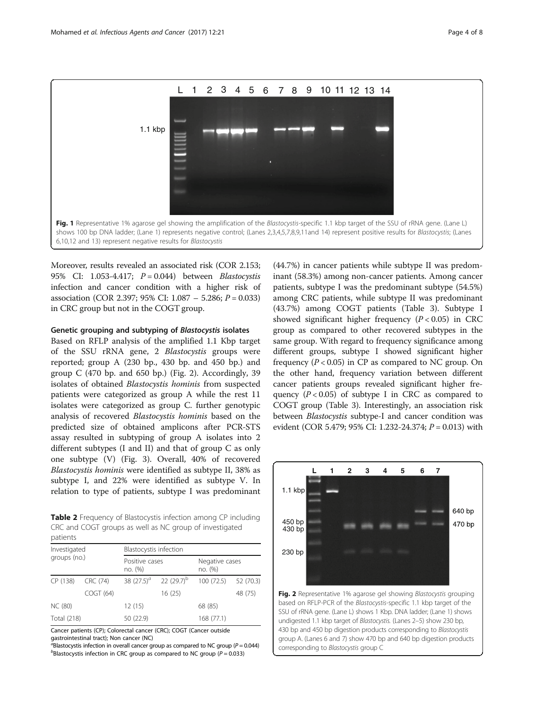<span id="page-3-0"></span>

Moreover, results revealed an associated risk (COR 2.153; 95% CI: 1.053-4.417;  $P = 0.044$ ) between *Blastocystis* infection and cancer condition with a higher risk of association (COR 2.397; 95% CI:  $1.087 - 5.286$ ;  $P = 0.033$ ) in CRC group but not in the COGT group.

## Genetic grouping and subtyping of Blastocystis isolates

Based on RFLP analysis of the amplified 1.1 Kbp target of the SSU rRNA gene, 2 Blastocystis groups were reported; group A (230 bp., 430 bp. and 450 bp.) and group  $C$  (470 bp. and 650 bp.) (Fig. 2). Accordingly, 39 isolates of obtained Blastocystis hominis from suspected patients were categorized as group A while the rest 11 isolates were categorized as group C. further genotypic analysis of recovered Blastocystis hominis based on the predicted size of obtained amplicons after PCR-STS assay resulted in subtyping of group A isolates into 2 different subtypes (I and II) and that of group C as only one subtype (V) (Fig. [3\)](#page-4-0). Overall, 40% of recovered Blastocystis hominis were identified as subtype II, 38% as subtype I, and 22% were identified as subtype V. In relation to type of patients, subtype I was predominant

Table 2 Frequency of Blastocystis infection among CP including CRC and COGT groups as well as NC group of investigated patients

| Investigated<br>groups (no.) |           | Blastocystis infection    |                             |                           |           |  |  |
|------------------------------|-----------|---------------------------|-----------------------------|---------------------------|-----------|--|--|
|                              |           | Positive cases<br>no. (%) |                             | Negative cases<br>no. (%) |           |  |  |
| CP (138)                     | CRC (74)  |                           | 38 $(27.5)^a$ 22 $(29.7)^b$ | 100 (72.5)                | 52 (70.3) |  |  |
|                              | COGT (64) |                           | 16(25)                      |                           | 48 (75)   |  |  |
| NC (80)                      |           | 12(15)                    |                             | 68 (85)                   |           |  |  |
| Total (218)                  |           | 50 (22.9)                 |                             | 168 (77.1)                |           |  |  |

Cancer patients (CP); Colorectal cancer (CRC); COGT (Cancer outside gastrointestinal tract); Non cancer (NC)

 $a^{\overline{a}}$ Blastocystis infection in overall cancer group as compared to NC group ( $P = 0.044$ )<br> $b^{\overline{b}}$ Blastocystis infection in CPC group as compared to NC group ( $P = 0.033$ )  $b$ Blastocystis infection in CRC group as compared to NC group ( $P = 0.033$ )

(44.7%) in cancer patients while subtype II was predominant (58.3%) among non-cancer patients. Among cancer patients, subtype I was the predominant subtype (54.5%) among CRC patients, while subtype II was predominant (43.7%) among COGT patients (Table [3\)](#page-4-0). Subtype I showed significant higher frequency  $(P < 0.05)$  in CRC group as compared to other recovered subtypes in the same group. With regard to frequency significance among different groups, subtype I showed significant higher frequency  $(P < 0.05)$  in CP as compared to NC group. On the other hand, frequency variation between different cancer patients groups revealed significant higher frequency  $(P < 0.05)$  of subtype I in CRC as compared to COGT group (Table [3](#page-4-0)). Interestingly, an association risk between Blastocystis subtype-I and cancer condition was evident (COR 5.479; 95% CI: 1.232-24.374; P = 0.013) with



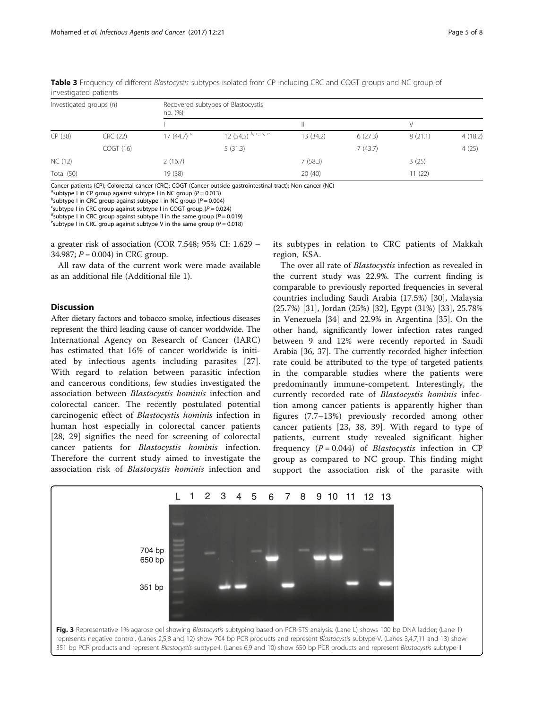| Investigated groups (n) |          | no. (%)       | Recovered subtypes of Blastocystis |           |         |         |         |  |  |
|-------------------------|----------|---------------|------------------------------------|-----------|---------|---------|---------|--|--|
|                         |          |               |                                    |           |         | V       |         |  |  |
| CP (38)                 | CRC (22) | 17 (44.7) $a$ | 12 (54.5) $b, c, d, e$             | 13 (34.2) | 6(27.3) | 8(21.1) | 4(18.2) |  |  |
|                         | COGT(16) |               | 5(31.3)                            |           | 7(43.7) |         | 4(25)   |  |  |
| NC (12)                 |          | 2(16.7)       |                                    | 7(58.3)   |         | 3(25)   |         |  |  |
| Total (50)              |          | 19 (38)       |                                    | 20(40)    |         | 11 (22) |         |  |  |

<span id="page-4-0"></span>Table 3 Frequency of different Blastocystis subtypes isolated from CP including CRC and COGT groups and NC group of investigated patients

Cancer patients (CP); Colorectal cancer (CRC); COGT (Cancer outside gastrointestinal tract); Non cancer (NC)

<sup>a</sup>subtype I in CP group against subtype I in NC group ( $P = 0.013$ )<br>bsubtype Lin CPC group against subtype Lin NC group ( $P = 0.00$ 

<sup>b</sup>subtype I in CRC group against subtype I in NC group ( $P = 0.004$ )

 $c$ subtype I in CRC group against subtype I in COGT group ( $P = 0.024$ )

<sup>d</sup>subtype I in CRC group against subtype II in the same group ( $P = 0.019$ )

<sup>e</sup>subtype I in CRC group against subtype V in the same group ( $P = 0.018$ )

a greater risk of association (COR 7.548; 95% CI: 1.629 – 34.987;  $P = 0.004$ ) in CRC group.

All raw data of the current work were made available as an additional file (Additional file [1\)](#page-6-0).

## **Discussion**

After dietary factors and tobacco smoke, infectious diseases represent the third leading cause of cancer worldwide. The International Agency on Research of Cancer (IARC) has estimated that 16% of cancer worldwide is initiated by infectious agents including parasites [\[27](#page-7-0)]. With regard to relation between parasitic infection and cancerous conditions, few studies investigated the association between Blastocystis hominis infection and colorectal cancer. The recently postulated potential carcinogenic effect of Blastocystis hominis infection in human host especially in colorectal cancer patients [[28, 29\]](#page-7-0) signifies the need for screening of colorectal cancer patients for Blastocystis hominis infection. Therefore the current study aimed to investigate the association risk of Blastocystis hominis infection and its subtypes in relation to CRC patients of Makkah region, KSA.

The over all rate of *Blastocystis* infection as revealed in the current study was 22.9%. The current finding is comparable to previously reported frequencies in several countries including Saudi Arabia (17.5%) [[30\]](#page-7-0), Malaysia (25.7%) [[31\]](#page-7-0), Jordan (25%) [\[32](#page-7-0)], Egypt (31%) [[33\]](#page-7-0), 25.78% in Venezuela [[34\]](#page-7-0) and 22.9% in Argentina [\[35](#page-7-0)]. On the other hand, significantly lower infection rates ranged between 9 and 12% were recently reported in Saudi Arabia [[36](#page-7-0), [37\]](#page-7-0). The currently recorded higher infection rate could be attributed to the type of targeted patients in the comparable studies where the patients were predominantly immune-competent. Interestingly, the currently recorded rate of Blastocystis hominis infection among cancer patients is apparently higher than figures (7.7–13%) previously recorded among other cancer patients [[23, 38, 39](#page-7-0)]. With regard to type of patients, current study revealed significant higher frequency  $(P = 0.044)$  of *Blastocystis* infection in CP group as compared to NC group. This finding might support the association risk of the parasite with

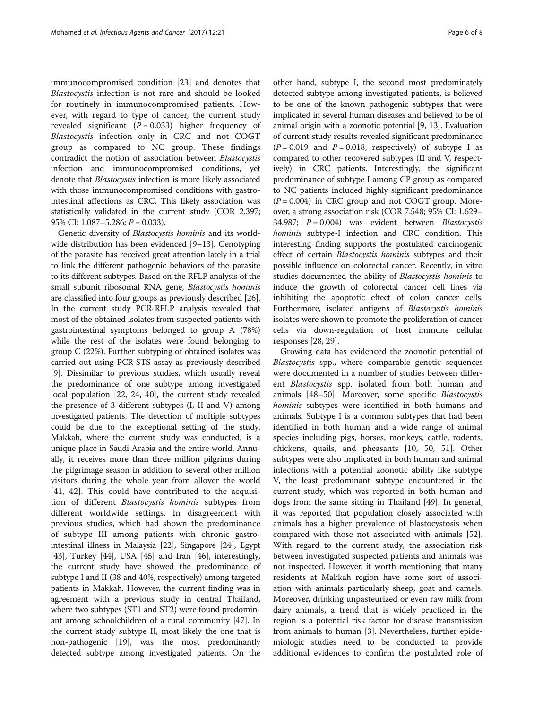immunocompromised condition [[23\]](#page-7-0) and denotes that Blastocystis infection is not rare and should be looked for routinely in immunocompromised patients. However, with regard to type of cancer, the current study revealed significant  $(P = 0.033)$  higher frequency of Blastocystis infection only in CRC and not COGT group as compared to NC group. These findings contradict the notion of association between Blastocystis infection and immunocompromised conditions, yet denote that Blastocystis infection is more likely associated with those immunocompromised conditions with gastrointestinal affections as CRC. This likely association was statistically validated in the current study (COR 2.397; 95% CI:  $1.087 - 5.286$ ;  $P = 0.033$ ).

Genetic diversity of Blastocystis hominis and its worldwide distribution has been evidenced [[9](#page-6-0)–[13](#page-6-0)]. Genotyping of the parasite has received great attention lately in a trial to link the different pathogenic behaviors of the parasite to its different subtypes. Based on the RFLP analysis of the small subunit ribosomal RNA gene, Blastocystis hominis are classified into four groups as previously described [[26](#page-7-0)]. In the current study PCR-RFLP analysis revealed that most of the obtained isolates from suspected patients with gastrointestinal symptoms belonged to group A (78%) while the rest of the isolates were found belonging to group C (22%). Further subtyping of obtained isolates was carried out using PCR-STS assay as previously described [[9\]](#page-6-0). Dissimilar to previous studies, which usually reveal the predominance of one subtype among investigated local population [\[22, 24, 40\]](#page-7-0), the current study revealed the presence of 3 different subtypes (I, II and V) among investigated patients. The detection of multiple subtypes could be due to the exceptional setting of the study. Makkah, where the current study was conducted, is a unique place in Saudi Arabia and the entire world. Annually, it receives more than three million pilgrims during the pilgrimage season in addition to several other million visitors during the whole year from allover the world [[41, 42](#page-7-0)]. This could have contributed to the acquisition of different Blastocystis hominis subtypes from different worldwide settings. In disagreement with previous studies, which had shown the predominance of subtype III among patients with chronic gastrointestinal illness in Malaysia [[22](#page-7-0)], Singapore [[24](#page-7-0)], Egypt [[43](#page-7-0)], Turkey [[44](#page-7-0)], USA [\[45\]](#page-7-0) and Iran [\[46\]](#page-7-0), interestingly, the current study have showed the predominance of subtype I and II (38 and 40%, respectively) among targeted patients in Makkah. However, the current finding was in agreement with a previous study in central Thailand, where two subtypes (ST1 and ST2) were found predominant among schoolchildren of a rural community [\[47\]](#page-7-0). In the current study subtype II, most likely the one that is non-pathogenic [\[19\]](#page-7-0), was the most predominantly detected subtype among investigated patients. On the

other hand, subtype I, the second most predominately detected subtype among investigated patients, is believed to be one of the known pathogenic subtypes that were implicated in several human diseases and believed to be of animal origin with a zoonotic potential [[9](#page-6-0), [13](#page-6-0)]. Evaluation of current study results revealed significant predominance  $(P = 0.019$  and  $P = 0.018$ , respectively) of subtype I as compared to other recovered subtypes (II and V, respectively) in CRC patients. Interestingly, the significant predominance of subtype I among CP group as compared to NC patients included highly significant predominance  $(P = 0.004)$  in CRC group and not COGT group. Moreover, a strong association risk (COR 7.548; 95% CI: 1.629– 34.987;  $P = 0.004$ ) was evident between *Blastocystis* hominis subtype-I infection and CRC condition. This interesting finding supports the postulated carcinogenic effect of certain Blastocystis hominis subtypes and their possible influence on colorectal cancer. Recently, in vitro studies documented the ability of Blastocystis hominis to induce the growth of colorectal cancer cell lines via inhibiting the apoptotic effect of colon cancer cells. Furthermore, isolated antigens of Blastocystis hominis isolates were shown to promote the proliferation of cancer cells via down-regulation of host immune cellular responses [\[28, 29](#page-7-0)].

Growing data has evidenced the zoonotic potential of Blastocystis spp., where comparable genetic sequences were documented in a number of studies between different Blastocystis spp. isolated from both human and animals [[48](#page-7-0)–[50\]](#page-7-0). Moreover, some specific Blastocystis hominis subtypes were identified in both humans and animals. Subtype I is a common subtypes that had been identified in both human and a wide range of animal species including pigs, horses, monkeys, cattle, rodents, chickens, quails, and pheasants [\[10](#page-6-0), [50](#page-7-0), [51](#page-7-0)]. Other subtypes were also implicated in both human and animal infections with a potential zoonotic ability like subtype V, the least predominant subtype encountered in the current study, which was reported in both human and dogs from the same sitting in Thailand [[49](#page-7-0)]. In general, it was reported that population closely associated with animals has a higher prevalence of blastocystosis when compared with those not associated with animals [\[52](#page-7-0)]. With regard to the current study, the association risk between investigated suspected patients and animals was not inspected. However, it worth mentioning that many residents at Makkah region have some sort of association with animals particularly sheep, goat and camels. Moreover, drinking unpasteurized or even raw milk from dairy animals, a trend that is widely practiced in the region is a potential risk factor for disease transmission from animals to human [[3\]](#page-6-0). Nevertheless, further epidemiologic studies need to be conducted to provide additional evidences to confirm the postulated role of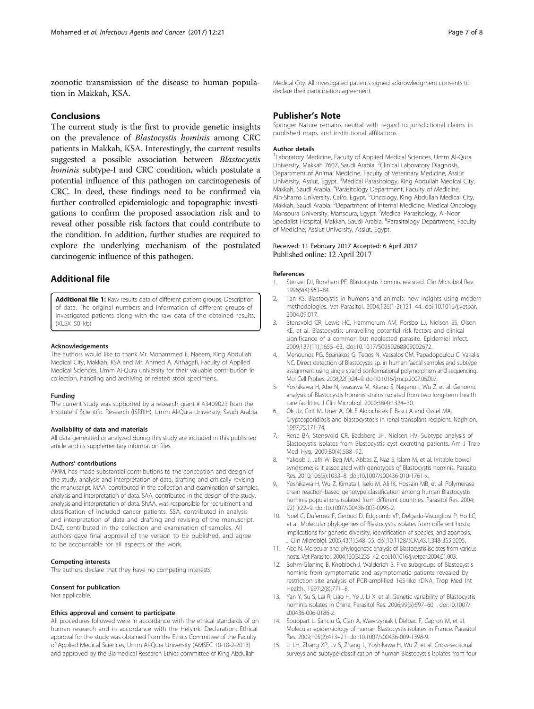<span id="page-6-0"></span>zoonotic transmission of the disease to human population in Makkah, KSA.

## Conclusions

The current study is the first to provide genetic insights on the prevalence of Blastocystis hominis among CRC patients in Makkah, KSA. Interestingly, the current results suggested a possible association between Blastocystis hominis subtype-I and CRC condition, which postulate a potential influence of this pathogen on carcinogenesis of CRC. In deed, these findings need to be confirmed via further controlled epidemiologic and topographic investigations to confirm the proposed association risk and to reveal other possible risk factors that could contribute to the condition. In addition, further studies are required to explore the underlying mechanism of the postulated carcinogenic influence of this pathogen.

## Additional file

[Additional file 1:](dx.doi.org/10.1186/s13027-017-0131-z) Raw results data of different patient groups. Description of data: The original numbers and information of different groups of investigated patients along with the raw data of the obtained results. (XLSX 50 kb)

#### Acknowledgements

The authors would like to thank Mr. Mohammed E. Naeem, King Abdullah Medical City, Makkah, KSA and Mr. Ahmed A. Althagafi, Faculty of Applied Medical Sciences, Umm Al-Qura university for their valuable contribution in collection, handling and archiving of related stool specimens.

#### Funding

The current study was supported by a research grant # 43409023 from the Institute if Scientific Research (ISRRIH), Umm Al-Qura University, Saudi Arabia.

#### Availability of data and materials

All data generated or analyzed during this study are included in this published article and its supplementary information files.

#### Authors' contributions

AMM, has made substantial contributions to the conception and design of the study, analysis and interpretation of data, drafting and critically revising the manuscript. MAA, contributed in the collection and examination of samples, analysis and interpretation of data. SAA, contributed in the design of the study, analysis and interpretation of data. ShAA, was responsible for recruitment and classification of included cancer patients. SSA, contributed in analysis and interpretation of data and drafting and revising of the manuscript. DAZ, contributed in the collection and examination of samples. All authors gave final approval of the version to be published, and agree to be accountable for all aspects of the work.

#### Competing interests

The authors declare that they have no competing interests.

#### Consent for publication

Not applicable.

#### Ethics approval and consent to participate

All procedures followed were in accordance with the ethical standards of on human research and in accordance with the Helsinki Declaration. Ethical approval for the study was obtained from the Ethics Committee of the Faculty of Applied Medical Sciences, Umm Al-Qura University (AMSEC 10-18-2-2013) and approved by the Biomedical Research Ethics committee of King Abdullah

## Publisher's Note

Springer Nature remains neutral with regard to jurisdictional claims in published maps and institutional affiliations.

#### Author details

1 Laboratory Medicine, Faculty of Applied Medical Sciences, Umm Al-Qura University, Makkah 7607, Saudi Arabia. <sup>2</sup>Clinical Laboratory Diagnosis Department of Animal Medicine, Faculty of Veterinary Medicine, Assiut University, Assiut, Egypt. <sup>3</sup>Medical Parasitology, King Abdullah Medical City, Makkah, Saudi Arabia. <sup>4</sup>Parasitology Department, Faculty of Medicine Ain-Shams University, Cairo, Egypt. <sup>5</sup>Oncology, King Abdullah Medical City, Makkah, Saudi Arabia. <sup>6</sup>Department of Internal Medicine, Medical Oncology Mansoura University, Mansoura, Egypt. <sup>7</sup>Medical Parasitology, Al-Noor Specialist Hospital, Makkah, Saudi Arabia. <sup>8</sup>Parasitology Department, Faculty of Medicine, Assiut University, Assiut, Egypt.

#### Received: 11 February 2017 Accepted: 6 April 2017 Published online: 12 April 2017

#### References

- Stenzel DJ, Boreham PF. Blastocystis hominis revisited. Clin Microbiol Rev. 1996;9(4):563–84.
- 2. Tan KS. Blastocystis in humans and animals: new insights using modern methodologies. Vet Parasitol. 2004;126(1-2):121–44. doi:[10.1016/j.vetpar.](http://dx.doi.org/10.1016/j.vetpar.2004.09.017) [2004.09.017.](http://dx.doi.org/10.1016/j.vetpar.2004.09.017)
- 3. Stensvold CR, Lewis HC, Hammerum AM, Porsbo LJ, Nielsen SS, Olsen KE, et al. Blastocystis: unravelling potential risk factors and clinical significance of a common but neglected parasite. Epidemiol Infect. 2009;137(11):1655–63. doi[:10.1017/S0950268809002672](http://dx.doi.org/10.1017/S0950268809002672).
- 4. Menounos PG, Spanakos G, Tegos N, Vassalos CM, Papadopoulou C, Vakalis NC. Direct detection of Blastocystis sp. in human faecal samples and subtype assignment using single strand conformational polymorphism and sequencing. Mol Cell Probes. 2008;22(1):24–9. doi[:10.1016/j.mcp.2007.06.007.](http://dx.doi.org/10.1016/j.mcp.2007.06.007)
- 5. Yoshikawa H, Abe N, Iwasawa M, Kitano S, Nagano I, Wu Z, et al. Genomic analysis of Blastocystis hominis strains isolated from two long-term health care facilities. J Clin Microbiol. 2000;38(4):1324–30.
- 6. Ok Uz, Cirit M, Uner A, Ok E Akcochicek F Basci A and Ozcel MA. Cryptosporidiosis and blastocystosis in renal transplant recipient. Nephron. 1997;75:171-74.
- 7. Rene BA, Stensvold CR, Badsberg JH, Nielsen HV. Subtype analysis of Blastocystis isolates from Blastocystis cyst excreting patients. Am J Trop Med Hyg. 2009;80(4):588–92.
- 8. Yakoob J, Jafri W, Beg MA, Abbas Z, Naz S, Islam M, et al. Irritable bowel syndrome: is it associated with genotypes of Blastocystis hominis. Parasitol Res. 2010;106(5):1033–8. doi[:10.1007/s00436-010-1761-x](http://dx.doi.org/10.1007/s00436-010-1761-x).
- 9. Yoshikawa H, Wu Z, Kimata I, Iseki M, Ali IK, Hossain MB, et al. Polymerase chain reaction-based genotype classification among human Blastocystis hominis populations isolated from different countries. Parasitol Res. 2004; 92(1):22–9. doi[:10.1007/s00436-003-0995-2.](http://dx.doi.org/10.1007/s00436-003-0995-2)
- 10. Noel C, Dufernez F, Gerbod D, Edgcomb VP, Delgado-Viscogliosi P, Ho LC, et al. Molecular phylogenies of Blastocystis isolates from different hosts: implications for genetic diversity, identification of species, and zoonosis. J Clin Microbiol. 2005;43(1):348–55. doi[:10.1128/JCM.43.1.348-355.2005.](http://dx.doi.org/10.1128/JCM.43.1.348-355.2005)
- 11. Abe N. Molecular and phylogenetic analysis of Blastocystis isolates from various hosts. Vet Parasitol. 2004;120(3):235–42. doi[:10.1016/j.vetpar.2004.01.003](http://dx.doi.org/10.1016/j.vetpar.2004.01.003).
- 12. Bohm-Gloning B, Knobloch J, Walderich B. Five subgroups of Blastocystis hominis from symptomatic and asymptomatic patients revealed by restriction site analysis of PCR-amplified 16S-like rDNA. Trop Med Int Health. 1997;2(8):771–8.
- 13. Yan Y, Su S, Lai R, Liao H, Ye J, Li X, et al. Genetic variability of Blastocystis hominis isolates in China. Parasitol Res. 2006;99(5):597–601. doi:[10.1007/](http://dx.doi.org/10.1007/s00436-006-0186-z) [s00436-006-0186-z](http://dx.doi.org/10.1007/s00436-006-0186-z).
- 14. Souppart L, Sanciu G, Cian A, Wawrzyniak I, Delbac F, Capron M, et al. Molecular epidemiology of human Blastocystis isolates in France. Parasitol Res. 2009;105(2):413–21. doi[:10.1007/s00436-009-1398-9.](http://dx.doi.org/10.1007/s00436-009-1398-9)
- 15. Li LH, Zhang XP, Lv S, Zhang L, Yoshikawa H, Wu Z, et al. Cross-sectional surveys and subtype classification of human Blastocystis isolates from four